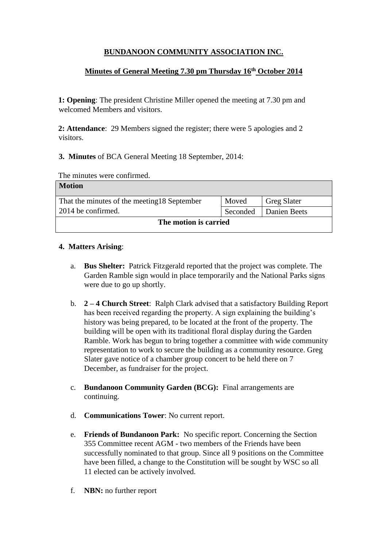# **BUNDANOON COMMUNITY ASSOCIATION INC.**

## **Minutes of General Meeting 7.30 pm Thursday 16th October 2014**

**1: Opening**: The president Christine Miller opened the meeting at 7.30 pm and welcomed Members and visitors.

**2: Attendance**: 29 Members signed the register; there were 5 apologies and 2 visitors.

## **3. Minutes** of BCA General Meeting 18 September, 2014:

| The minutes were confirmed. |  |  |
|-----------------------------|--|--|
|-----------------------------|--|--|

| <b>Motion</b>                                |          |                    |  |  |
|----------------------------------------------|----------|--------------------|--|--|
| That the minutes of the meeting 18 September | Moved    | <b>Greg Slater</b> |  |  |
| 2014 be confirmed.                           | Seconded | Danien Beets       |  |  |
| The motion is carried                        |          |                    |  |  |

### **4. Matters Arising**:

- a. **Bus Shelter:** Patrick Fitzgerald reported that the project was complete. The Garden Ramble sign would in place temporarily and the National Parks signs were due to go up shortly.
- b. **2 – 4 Church Street**: Ralph Clark advised that a satisfactory Building Report has been received regarding the property. A sign explaining the building's history was being prepared, to be located at the front of the property. The building will be open with its traditional floral display during the Garden Ramble. Work has begun to bring together a committee with wide community representation to work to secure the building as a community resource. Greg Slater gave notice of a chamber group concert to be held there on 7 December, as fundraiser for the project.
- c. **Bundanoon Community Garden (BCG):** Final arrangements are continuing.
- d. **Communications Tower**: No current report.
- e. **Friends of Bundanoon Park:** No specific report. Concerning the Section 355 Committee recent AGM - two members of the Friends have been successfully nominated to that group. Since all 9 positions on the Committee have been filled, a change to the Constitution will be sought by WSC so all 11 elected can be actively involved.
- f. **NBN:** no further report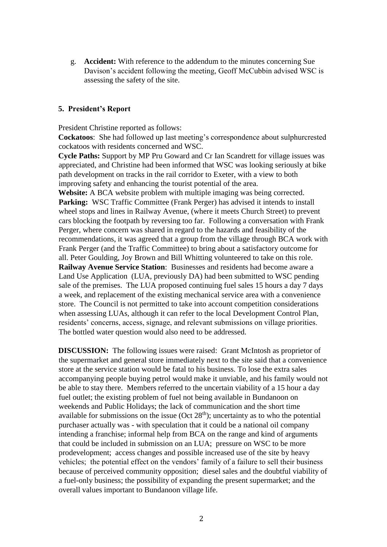g. **Accident:** With reference to the addendum to the minutes concerning Sue Davison's accident following the meeting, Geoff McCubbin advised WSC is assessing the safety of the site.

#### **5. President's Report**

President Christine reported as follows:

**Cockatoos**: She had followed up last meeting's correspondence about sulphurcrested cockatoos with residents concerned and WSC.

**Cycle Paths:** Support by MP Pru Goward and Cr Ian Scandrett for village issues was appreciated, and Christine had been informed that WSC was looking seriously at bike path development on tracks in the rail corridor to Exeter, with a view to both improving safety and enhancing the tourist potential of the area.

**Website:** A BCA website problem with multiple imaging was being corrected. **Parking:** WSC Traffic Committee (Frank Perger) has advised it intends to install wheel stops and lines in Railway Avenue, (where it meets Church Street) to prevent cars blocking the footpath by reversing too far. Following a conversation with Frank Perger, where concern was shared in regard to the hazards and feasibility of the recommendations, it was agreed that a group from the village through BCA work with Frank Perger (and the Traffic Committee) to bring about a satisfactory outcome for all. Peter Goulding, Joy Brown and Bill Whitting volunteered to take on this role. **Railway Avenue Service Station**: Businesses and residents had become aware a Land Use Application (LUA, previously DA) had been submitted to WSC pending sale of the premises. The LUA proposed continuing fuel sales 15 hours a day 7 days a week, and replacement of the existing mechanical service area with a convenience store. The Council is not permitted to take into account competition considerations when assessing LUAs, although it can refer to the local Development Control Plan, residents' concerns, access, signage, and relevant submissions on village priorities. The bottled water question would also need to be addressed.

**DISCUSSION:** The following issues were raised: Grant McIntosh as proprietor of the supermarket and general store immediately next to the site said that a convenience store at the service station would be fatal to his business. To lose the extra sales accompanying people buying petrol would make it unviable, and his family would not be able to stay there. Members referred to the uncertain viability of a 15 hour a day fuel outlet; the existing problem of fuel not being available in Bundanoon on weekends and Public Holidays; the lack of communication and the short time available for submissions on the issue (Oct  $28<sup>th</sup>$ ); uncertainty as to who the potential purchaser actually was - with speculation that it could be a national oil company intending a franchise; informal help from BCA on the range and kind of arguments that could be included in submission on an LUA; pressure on WSC to be more prodevelopment; access changes and possible increased use of the site by heavy vehicles; the potential effect on the vendors' family of a failure to sell their business because of perceived community opposition; diesel sales and the doubtful viability of a fuel-only business; the possibility of expanding the present supermarket; and the overall values important to Bundanoon village life.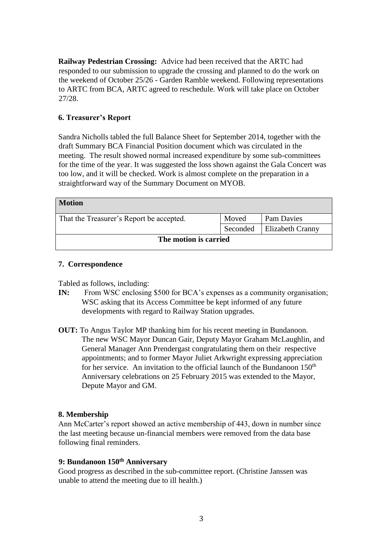**Railway Pedestrian Crossing:** Advice had been received that the ARTC had responded to our submission to upgrade the crossing and planned to do the work on the weekend of October 25/26 - Garden Ramble weekend. Following representations to ARTC from BCA, ARTC agreed to reschedule. Work will take place on October 27/28.

## **6. Treasurer's Report**

Sandra Nicholls tabled the full Balance Sheet for September 2014, together with the draft Summary BCA Financial Position document which was circulated in the meeting. The result showed normal increased expenditure by some sub-committees for the time of the year. It was suggested the loss shown against the Gala Concert was too low, and it will be checked. Work is almost complete on the preparation in a straightforward way of the Summary Document on MYOB.

| <b>Motion</b>                            |          |                         |  |  |
|------------------------------------------|----------|-------------------------|--|--|
| That the Treasurer's Report be accepted. | Moved    | Pam Davies              |  |  |
|                                          | Seconded | <b>Elizabeth Cranny</b> |  |  |
| The motion is carried                    |          |                         |  |  |

#### **7. Correspondence**

Tabled as follows, including:

- **IN:** From WSC enclosing \$500 for BCA's expenses as a community organisation; WSC asking that its Access Committee be kept informed of any future developments with regard to Railway Station upgrades.
- **OUT:** To Angus Taylor MP thanking him for his recent meeting in Bundanoon. The new WSC Mayor Duncan Gair, Deputy Mayor Graham McLaughlin, and General Manager Ann Prendergast congratulating them on their respective appointments; and to former Mayor Juliet Arkwright expressing appreciation for her service. An invitation to the official launch of the Bundanoon  $150<sup>th</sup>$ Anniversary celebrations on 25 February 2015 was extended to the Mayor, Depute Mayor and GM.

#### **8. Membership**

Ann McCarter's report showed an active membership of 443, down in number since the last meeting because un-financial members were removed from the data base following final reminders.

#### **9: Bundanoon 150th Anniversary**

Good progress as described in the sub-committee report. (Christine Janssen was unable to attend the meeting due to ill health.)